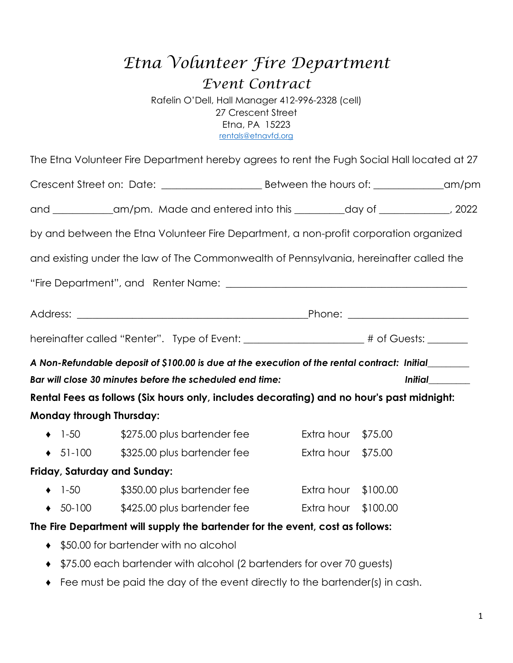# *Etna Volunteer Fire Department Event Contract*

Rafelin O'Dell, Hall Manager 412-996-2328 (cell) 27 Crescent Street Etna, PA 15223 rentals@etnavfd.org

|                                 | and ____________am/pm. Made and entered into this _________day of ____________, 2022                |                     |                       |  |
|---------------------------------|-----------------------------------------------------------------------------------------------------|---------------------|-----------------------|--|
|                                 | by and between the Etna Volunteer Fire Department, a non-profit corporation organized               |                     |                       |  |
|                                 | and existing under the law of The Commonwealth of Pennsylvania, hereinafter called the              |                     |                       |  |
|                                 |                                                                                                     |                     |                       |  |
|                                 |                                                                                                     |                     |                       |  |
|                                 | hereinafter called "Renter". Type of Event: ___________________# of Guests: ______                  |                     |                       |  |
|                                 | A Non-Refundable deposit of \$100.00 is due at the execution of the rental contract: Initial_______ |                     |                       |  |
|                                 | Bar will close 30 minutes before the scheduled end time:                                            |                     | <i><b>Initial</b></i> |  |
|                                 | Rental Fees as follows (Six hours only, includes decorating) and no hour's past midnight:           |                     |                       |  |
| <b>Monday through Thursday:</b> |                                                                                                     |                     |                       |  |
| $\bullet$ 1-50                  | $$275.00$ plus bartender fee                                                                        | Extra hour \$75.00  |                       |  |
|                                 | $\bullet$ 51-100 $\qquad$ \$325.00 plus bartender fee                                               | Extra hour \$75.00  |                       |  |
| Friday, Saturday and Sunday:    |                                                                                                     |                     |                       |  |
| $\bullet$ 1-50                  | \$350.00 plus bartender fee                                                                         | Extra hour \$100.00 |                       |  |
|                                 | ◆ 50-100 \$425.00 plus bartender fee Extra hour \$100.00                                            |                     |                       |  |
|                                 | The Fire Department will supply the bartender for the event, cost as follows:                       |                     |                       |  |
|                                 | ♦ \$50.00 for bartender with no alcohol                                                             |                     |                       |  |

- ♦ \$75.00 each bartender with alcohol (2 bartenders for over 70 guests)
- ♦ Fee must be paid the day of the event directly to the bartender(s) in cash.